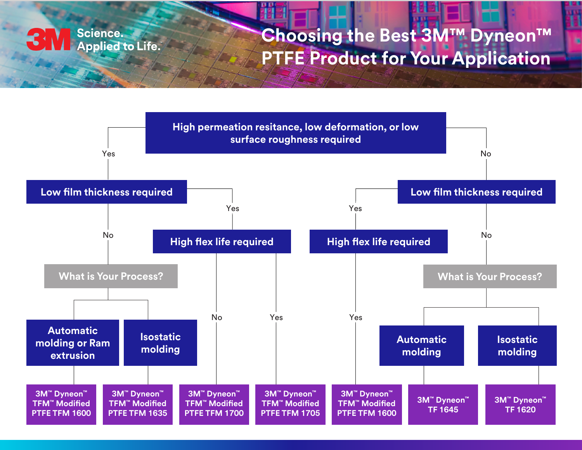

## **Choosing the Best 3M™ Dyneon™ PTFE Product for Your Application**